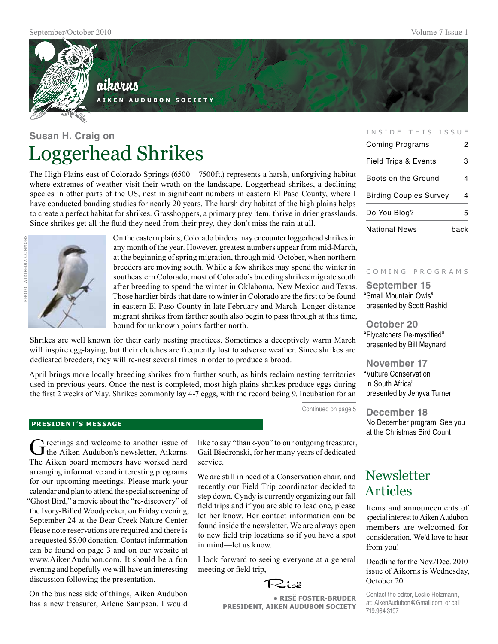

### aikorus **A i k e n A u d u b o n S o c i e t y**

**Susan H. Craig on** Loggerhead Shrikes

The High Plains east of Colorado Springs (6500 – 7500ft.) represents a harsh, unforgiving habitat where extremes of weather visit their wrath on the landscape. Loggerhead shrikes, a declining species in other parts of the US, nest in significant numbers in eastern El Paso County, where I have conducted banding studies for nearly 20 years. The harsh dry habitat of the high plains helps to create a perfect habitat for shrikes. Grasshoppers, a primary prey item, thrive in drier grasslands. Since shrikes get all the fluid they need from their prey, they don't miss the rain at all.



On the eastern plains, Colorado birders may encounter loggerhead shrikes in any month of the year. However, greatest numbers appear from mid-March, at the beginning of spring migration, through mid-October, when northern breeders are moving south. While a few shrikes may spend the winter in southeastern Colorado, most of Colorado's breeding shrikes migrate south after breeding to spend the winter in Oklahoma, New Mexico and Texas. Those hardier birds that dare to winter in Colorado are the first to be found in eastern El Paso County in late February and March. Longer-distance migrant shrikes from farther south also begin to pass through at this time, bound for unknown points farther north.

Shrikes are well known for their early nesting practices. Sometimes a deceptively warm March will inspire egg-laying, but their clutches are frequently lost to adverse weather. Since shrikes are dedicated breeders, they will re-nest several times in order to produce a brood.

April brings more locally breeding shrikes from further south, as birds reclaim nesting territories used in previous years. Once the nest is completed, most high plains shrikes produce eggs during the first 2 weeks of May. Shrikes commonly lay 4-7 eggs, with the record being 9. Incubation for an

Continued on page 5

#### **president's message**

Greetings and welcome to another issue of the Aiken Audubon's newsletter, Aikorns. The Aiken board members have worked hard arranging informative and interesting programs for our upcoming meetings. Please mark your calendar and plan to attend the special screening of "Ghost Bird," a movie about the "re-discovery" of the Ivory-Billed Woodpecker, on Friday evening, September 24 at the Bear Creek Nature Center. Please note reservations are required and there is a requested \$5.00 donation. Contact information can be found on page 3 and on our website at www.AikenAudubon.com. It should be a fun evening and hopefully we will have an interesting discussion following the presentation.

On the business side of things, Aiken Audubon has a new treasurer, Arlene Sampson. I would like to say "thank-you" to our outgoing treasurer, Gail Biedronski, for her many years of dedicated service.

We are still in need of a Conservation chair, and recently our Field Trip coordinator decided to step down. Cyndy is currently organizing our fall field trips and if you are able to lead one, please let her know. Her contact information can be found inside the newsletter. We are always open to new field trip locations so if you have a spot in mind—let us know.

I look forward to seeing everyone at a general meeting or field trip,

Risë

**• RisË Foster-Bruder President, Aiken Audubon Society**

| INSIDE THIS ISSUE               |      |
|---------------------------------|------|
| Coming Programs                 | 2    |
| <b>Field Trips &amp; Events</b> | 3    |
| Boots on the Ground             |      |
| Birding Couples Survey          |      |
| Do You Blog?                    | 5    |
| National News                   | back |

#### c o m i n g p r o g r a m s

**September 15** "Small Mountain Owls" presented by Scott Rashid

**October 20** "Flycatchers De-mystified" presented by Bill Maynard

**November 17** "Vulture Conservation in South Africa" presented by Jenyva Turner

**December 18** No December program. See you at the Christmas Bird Count!

## Newsletter Articles

Items and announcements of special interest to Aiken Audubon members are welcomed for consideration. We'd love to hear from you!

Deadline for the Nov./Dec. 2010 issue of Aikorns is Wednesday, October 20.

Contact the editor, Leslie Holzmann, at: AikenAudubon@Gmail.com, or call 719.964.3197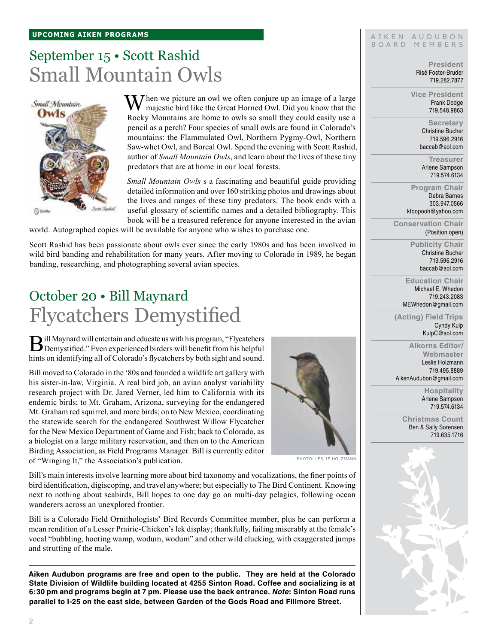#### **upcoming aiken Programs**

# September 15 • Scott Rashid Small Mountain Owls



 $M$ hen we picture an owl we often conjure up an image of a large majestic bird like the Great Horned Owl. Did you know that the Rocky Mountains are home to owls so small they could easily use a pencil as a perch? Four species of small owls are found in Colorado's mountains: the Flammulated Owl, Northern Pygmy-Owl, Northern Saw-whet Owl, and Boreal Owl. Spend the evening with Scott Rashid, author of *Small Mountain Owls*, and learn about the lives of these tiny predators that are at home in our local forests.

*Small Mountain Owls* s a fascinating and beautiful guide providing detailed information and over 160 striking photos and drawings about the lives and ranges of these tiny predators. The book ends with a useful glossary of scientific names and a detailed bibliography. This book will be a treasured reference for anyone interested in the avian

world. Autographed copies will be available for anyone who wishes to purchase one.

Scott Rashid has been passionate about owls ever since the early 1980s and has been involved in wild bird banding and rehabilitation for many years. After moving to Colorado in 1989, he began banding, researching, and photographing several avian species.

## October 20 • Bill Maynard Flycatchers Demystified

Bill Maynard will entertain and educate us with his program, "Flycatchers"<br>Demystified." Even experienced birders will benefit from his helpful hints on identifying all of Colorado's flycatchers by both sight and sound.

Bill moved to Colorado in the '80s and founded a wildlife art gallery with his sister-in-law, Virginia. A real bird job, an avian analyst variability research project with Dr. Jared Verner, led him to California with its endemic birds; to Mt. Graham, Arizona, surveying for the endangered Mt. Graham red squirrel, and more birds; on to New Mexico, coordinating the statewide search for the endangered Southwest Willow Flycatcher for the New Mexico Department of Game and Fish; back to Colorado, as a biologist on a large military reservation, and then on to the American Birding Association, as Field Programs Manager. Bill is currently editor of "Winging It," the Association's publication.



Photo: Leslie Holzmann

Bill's main interests involve learning more about bird taxonomy and vocalizations, the finer points of bird identification, digiscoping, and travel anywhere; but especially to The Bird Continent. Knowing next to nothing about seabirds, Bill hopes to one day go on multi-day pelagics, following ocean wanderers across an unexplored frontier.

Bill is a Colorado Field Ornithologists' Bird Records Committee member, plus he can perform a mean rendition of a Lesser Prairie-Chicken's lek display; thankfully, failing miserably at the female's vocal "bubbling, hooting wamp, wodum, wodum" and other wild clucking, with exaggerated jumps and strutting of the male.

**Aiken Audubon programs are free and open to the public. They are held at the Colorado State Division of Wildlife building located at 4255 Sinton Road. Coffee and socializing is at 6:30 pm and programs begin at 7 pm. Please use the back entrance.** *Note***: Sinton Road runs parallel to I-25 on the east side, between Garden of the Gods Road and Fillmore Street.**

#### AIKEN AUDUBON BOARD MEMBERS

**President** Risë Foster-Bruder 719.282.7877

**Vice President** Frank Dodge 719.548.9863

> **Secretary** Christine Bucher 719.596.2916 baccab@aol.com

**Treasurer** Arlene Sampson 719.574.6134

**Program Chair** Debra Barnes 303.947.0566 kfoopooh@yahoo.com

**Conservation Chair** (Position open)

> **Publicity Chair** Christine Bucher 719.596.2916 baccab@aol.com

**Education Chair** Michael E. Whedon 719.243.2083 MEWhedon@gmail.com

**(Acting) Field Trips** Cyndy Kulp KulpC@aol.com

**Aikorns Editor/ Webmaster** Leslie Holzmann 719.495.8889 AikenAudubon@gmail.com

> **Hospitality** Arlene Sampson 719.574.6134

**Christmas Count** Ben & Sally Sorensen 719.635.1716

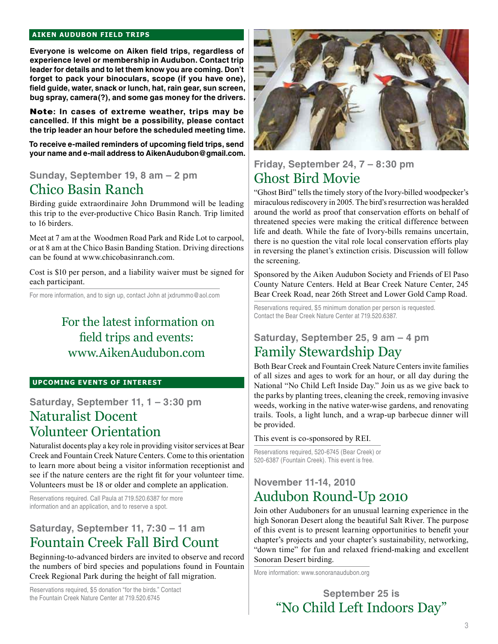#### **aiken audubon FIELD TRIPS**

**Everyone is welcome on Aiken field trips, regardless of experience level or membership in Audubon. Contact trip leader for details and to let them know you are coming. Don't forget to pack your binoculars, scope (if you have one), field guide, water, snack or lunch, hat, rain gear, sun screen, bug spray, camera(?), and some gas money for the drivers.** 

Note**: In cases of extreme weather, trips may be cancelled. If this might be a possibility, please contact the trip leader an hour before the scheduled meeting time.**

**To receive e-mailed reminders of upcoming field trips, send your name and e-mail address to AikenAudubon@gmail.com.**

### **Sunday, September 19, 8 am – 2 pm** Chico Basin Ranch

Birding guide extraordinaire John Drummond will be leading this trip to the ever-productive Chico Basin Ranch. Trip limited to 16 birders.

Meet at 7 am at the Woodmen Road Park and Ride Lot to carpool, or at 8 am at the Chico Basin Banding Station. Driving directions can be found at www.chicobasinranch.com.

Cost is \$10 per person, and a liability waiver must be signed for each participant.

For more information, and to sign up, contact John at jxdrummo@aol.com

### For the latest information on field trips and events: www.AikenAudubon.com

#### **UPCOMING EVENTS OF INTEREST**

### **Saturday, September 11, 1 – 3:30 pm** Naturalist Docent Volunteer Orientation

Naturalist docents play a key role in providing visitor services at Bear Creek and Fountain Creek Nature Centers. Come to this orientation to learn more about being a visitor information receptionist and see if the nature centers are the right fit for your volunteer time. Volunteers must be 18 or older and complete an application.

Reservations required. Call Paula at 719.520.6387 for more information and an application, and to reserve a spot.

### **Saturday, September 11, 7:30 – 11 am** Fountain Creek Fall Bird Count

Beginning-to-advanced birders are invited to observe and record the numbers of bird species and populations found in Fountain Creek Regional Park during the height of fall migration.

Reservations required, \$5 donation "for the birds." Contact the Fountain Creek Nature Center at 719.520.6745



### **Friday, September 24, 7 – 8:30 pm** Ghost Bird Movie

"Ghost Bird" tells the timely story of the Ivory-billed woodpecker's miraculous rediscovery in 2005. The bird's resurrection was heralded around the world as proof that conservation efforts on behalf of threatened species were making the critical difference between life and death. While the fate of Ivory-bills remains uncertain, there is no question the vital role local conservation efforts play in reversing the planet's extinction crisis. Discussion will follow the screening.

Sponsored by the Aiken Audubon Society and Friends of El Paso County Nature Centers. Held at Bear Creek Nature Center, 245 Bear Creek Road, near 26th Street and Lower Gold Camp Road.

Reservations required, \$5 minimum donation per person is requested. Contact the Bear Creek Nature Center at 719.520.6387.

### **Saturday, September 25, 9 am – 4 pm** Family Stewardship Day

Both Bear Creek and Fountain Creek Nature Centers invite families of all sizes and ages to work for an hour, or all day during the National "No Child Left Inside Day." Join us as we give back to the parks by planting trees, cleaning the creek, removing invasive weeds, working in the native water-wise gardens, and renovating trails. Tools, a light lunch, and a wrap-up barbecue dinner will be provided.

This event is co-sponsored by REI.

Reservations required, 520-6745 (Bear Creek) or 520-6387 (Fountain Creek). This event is free.

### **November 11-14, 2010**  Audubon Round-Up 2010

Join other Auduboners for an unusual learning experience in the high Sonoran Desert along the beautiful Salt River. The purpose of this event is to present learning opportunities to benefit your chapter's projects and your chapter's sustainability, networking, "down time" for fun and relaxed friend-making and excellent Sonoran Desert birding.

More information: www.sonoranaudubon.org

**September 25 is**  "No Child Left Indoors Day"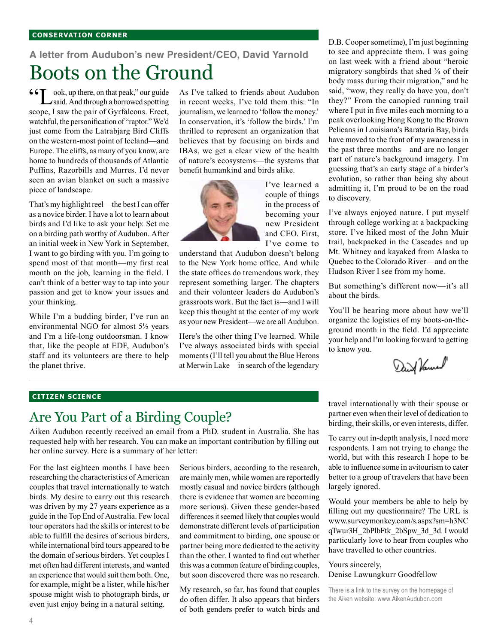#### **conservation corner**

## **A letter from Audubon's new President/CEO, David Yarnold**  Boots on the Ground

 $\mathsf{G} \mathsf{T}$  ook, up there, on that peak," our guide said. And through a borrowed spotting scope, I saw the pair of Gyrfalcons. Erect, watchful, the personification of "raptor." We'd just come from the Latrabjarg Bird Cliffs on the western-most point of Iceland—and Europe. The cliffs, as many of you know, are home to hundreds of thousands of Atlantic Puffins, Razorbills and Murres. I'd never seen an avian blanket on such a massive piece of landscape.

That's my highlight reel—the best I can offer as a novice birder. I have a lot to learn about birds and I'd like to ask your help: Set me on a birding path worthy of Audubon. After an initial week in New York in September, I want to go birding with you. I'm going to spend most of that month—my first real month on the job, learning in the field. I can't think of a better way to tap into your passion and get to know your issues and your thinking.

While I'm a budding birder, I've run an environmental NGO for almost 5½ years and I'm a life-long outdoorsman. I know that, like the people at EDF, Audubon's staff and its volunteers are there to help the planet thrive.

As I've talked to friends about Audubon in recent weeks, I've told them this: "In journalism, we learned to 'follow the money.' In conservation, it's 'follow the birds.' I'm thrilled to represent an organization that believes that by focusing on birds and IBAs, we get a clear view of the health of nature's ecosystems—the systems that benefit humankind and birds alike.



I've learned a couple of things in the process of becoming your new President and CEO. First, I've come to

understand that Audubon doesn't belong to the New York home office. And while the state offices do tremendous work, they represent something larger. The chapters and their volunteer leaders do Audubon's grassroots work. But the fact is—and I will keep this thought at the center of my work as your new President—we are all Audubon.

Here's the other thing I've learned. While I've always associated birds with special moments (I'll tell you about the Blue Herons at Merwin Lake—in search of the legendary D.B. Cooper sometime), I'm just beginning to see and appreciate them. I was going on last week with a friend about "heroic migratory songbirds that shed ¾ of their body mass during their migration," and he said, "wow, they really do have you, don't they?" From the canopied running trail where I put in five miles each morning to a peak overlooking Hong Kong to the Brown Pelicans in Louisiana's Barataria Bay, birds have moved to the front of my awareness in the past three months—and are no longer part of nature's background imagery. I'm guessing that's an early stage of a birder's evolution, so rather than being shy about admitting it, I'm proud to be on the road to discovery.

I've always enjoyed nature. I put myself through college working at a backpacking store. I've hiked most of the John Muir trail, backpacked in the Cascades and up Mt. Whitney and kayaked from Alaska to Quebec to the Colorado River—and on the Hudson River I see from my home.

But something's different now—it's all about the birds.

You'll be hearing more about how we'll organize the logistics of my boots-on-theground month in the field. I'd appreciate your help and I'm looking forward to getting to know you.

Daid Vanual

### **CITIZEN SCIENCE**

### Are You Part of a Birding Couple?

Aiken Audubon recently received an email from a PhD. student in Australia. She has requested help with her research. You can make an important contribution by filling out her online survey. Here is a summary of her letter:

For the last eighteen months I have been researching the characteristics of American couples that travel internationally to watch birds. My desire to carry out this research was driven by my 27 years experience as a guide in the Top End of Australia. Few local tour operators had the skills or interest to be able to fulfill the desires of serious birders, while international bird tours appeared to be the domain of serious birders. Yet couples I met often had different interests, and wanted an experience that would suit them both. One, for example, might be a lister, while his/her spouse might wish to photograph birds, or even just enjoy being in a natural setting.

Serious birders, according to the research, are mainly men, while women are reportedly mostly casual and novice birders (although there is evidence that women are becoming more serious). Given these gender-based differences it seemed likely that couples would demonstrate different levels of participation and commitment to birding, one spouse or partner being more dedicated to the activity than the other. I wanted to find out whether this was a common feature of birding couples, but soon discovered there was no research.

My research, so far, has found that couples do often differ. It also appears that birders of both genders prefer to watch birds and travel internationally with their spouse or partner even when their level of dedication to birding, their skills, or even interests, differ.

To carry out in-depth analysis, I need more respondents. I am not trying to change the world, but with this research I hope to be able to influence some in avitourism to cater better to a group of travelers that have been largely ignored.

Would your members be able to help by filling out my questionnaire? The URL is www.surveymonkey.com/s.aspx?sm=h3NC qTwur3H\_2bPlbFtk\_2bSpw\_3d\_3d. I would particularly love to hear from couples who have travelled to other countries.

Yours sincerely, Denise Lawungkurr Goodfellow

There is a link to the survey on the homepage of the Aiken website: www.AikenAudubon.com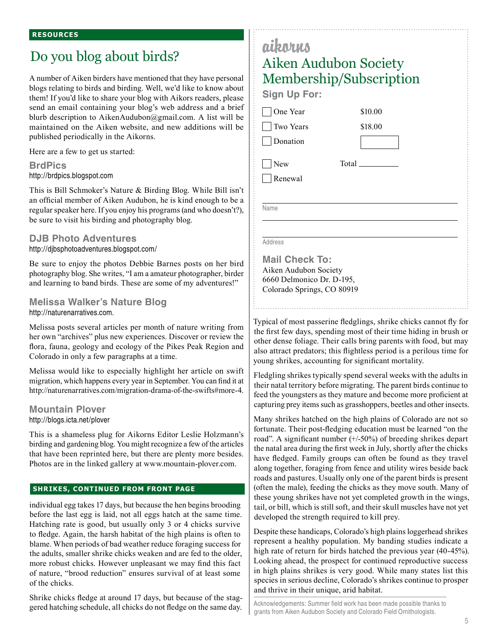## Do you blog about birds?

A number of Aiken birders have mentioned that they have personal blogs relating to birds and birding. Well, we'd like to know about them! If you'd like to share your blog with Aikors readers, please send an email containing your blog's web address and a brief blurb description to AikenAudubon@gmail.com. A list will be maintained on the Aiken website, and new additions will be published periodically in the Aikorns.

Here are a few to get us started:

**BrdPics** http://brdpics.blogspot.com

This is Bill Schmoker's Nature & Birding Blog. While Bill isn't an official member of Aiken Audubon, he is kind enough to be a regular speaker here. If you enjoy his programs (and who doesn't?), be sure to visit his birding and photography blog.

### **DJB Photo Adventures**

http://djbsphotoadventures.blogspot.com/

Be sure to enjoy the photos Debbie Barnes posts on her bird photography blog. She writes, "I am a amateur photographer, birder and learning to band birds. These are some of my adventures!"

### **Melissa Walker's Nature Blog** http://naturenarratives.com.

Melissa posts several articles per month of nature writing from her own "archives" plus new experiences. Discover or review the flora, fauna, geology and ecology of the Pikes Peak Region and Colorado in only a few paragraphs at a time.

Melissa would like to especially highlight her article on swift migration, which happens every year in September. You can find it at http://naturenarratives.com/migration-drama-of-the-swifts#more-4.

### **Mountain Plover** http://blogs.icta.net/plover

This is a shameless plug for Aikorns Editor Leslie Holzmann's birding and gardening blog. You might recognize a few of the articles that have been reprinted here, but there are plenty more besides. Photos are in the linked gallery at www.mountain-plover.com.

#### **shrikes, continued from front page**

individual egg takes 17 days, but because the hen begins brooding before the last egg is laid, not all eggs hatch at the same time. Hatching rate is good, but usually only 3 or 4 chicks survive to fledge. Again, the harsh habitat of the high plains is often to blame. When periods of bad weather reduce foraging success for the adults, smaller shrike chicks weaken and are fed to the older, more robust chicks. However unpleasant we may find this fact of nature, "brood reduction" ensures survival of at least some of the chicks.

Shrike chicks fledge at around 17 days, but because of the staggered hatching schedule, all chicks do not fledge on the same day.

## aikorus Aiken Audubon Society Membership/Subscription

**Sign Up For:**

One Year

 Two Years Donation

**New** Renewal Total

\$10.00 \$18.00

Name

Address

**Mail Check To:** Aiken Audubon Society 6660 Delmonico Dr. D-195, Colorado Springs, CO 80919

Typical of most passerine fledglings, shrike chicks cannot fly for the first few days, spending most of their time hiding in brush or other dense foliage. Their calls bring parents with food, but may also attract predators; this flightless period is a perilous time for young shrikes, accounting for significant mortality.

Fledgling shrikes typically spend several weeks with the adults in their natal territory before migrating. The parent birds continue to feed the youngsters as they mature and become more proficient at capturing prey items such as grasshoppers, beetles and other insects.

Many shrikes hatched on the high plains of Colorado are not so fortunate. Their post-fledging education must be learned "on the road". A significant number  $(+/-50%)$  of breeding shrikes depart the natal area during the first week in July, shortly after the chicks have fledged. Family groups can often be found as they travel along together, foraging from fence and utility wires beside back roads and pastures. Usually only one of the parent birds is present (often the male), feeding the chicks as they move south. Many of these young shrikes have not yet completed growth in the wings, tail, or bill, which is still soft, and their skull muscles have not yet developed the strength required to kill prey.

Despite these handicaps, Colorado's high plains loggerhead shrikes represent a healthy population. My banding studies indicate a high rate of return for birds hatched the previous year (40-45%). Looking ahead, the prospect for continued reproductive success in high plains shrikes is very good. While many states list this species in serious decline, Colorado's shrikes continue to prosper and thrive in their unique, arid habitat.

Acknowledgements: Summer field work has been made possible thanks to grants from Aiken Audubon Society and Colorado Field Ornithologists.